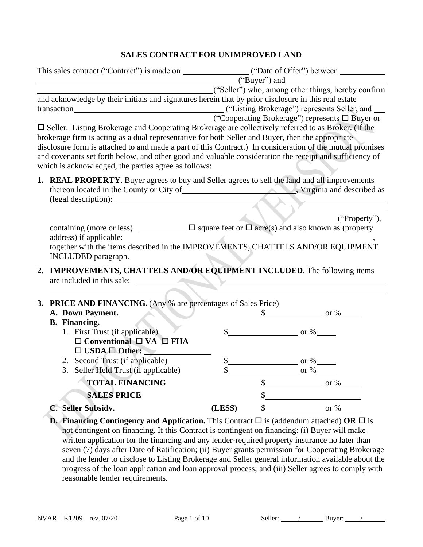## **SALES CONTRACT FOR UNIMPROVED LAND**

| This sales contract ("Contract") is made on ____________________("Date of Offer") between ____________________                                                                                                                                                                                                                                                                                                                                                                             |                                                                |  |                                                    |  |  |  |  |
|--------------------------------------------------------------------------------------------------------------------------------------------------------------------------------------------------------------------------------------------------------------------------------------------------------------------------------------------------------------------------------------------------------------------------------------------------------------------------------------------|----------------------------------------------------------------|--|----------------------------------------------------|--|--|--|--|
| $("Buyer")$ and $\qquad \qquad$                                                                                                                                                                                                                                                                                                                                                                                                                                                            |                                                                |  | ("Seller") who, among other things, hereby confirm |  |  |  |  |
| and acknowledge by their initials and signatures herein that by prior disclosure in this real estate                                                                                                                                                                                                                                                                                                                                                                                       |                                                                |  | ("Cooperating Brokerage") represents □ Buyer or    |  |  |  |  |
| □ Seller. Listing Brokerage and Cooperating Brokerage are collectively referred to as Broker. (If the<br>brokerage firm is acting as a dual representative for both Seller and Buyer, then the appropriate<br>disclosure form is attached to and made a part of this Contract.) In consideration of the mutual promises<br>and covenants set forth below, and other good and valuable consideration the receipt and sufficiency of<br>which is acknowledged, the parties agree as follows: |                                                                |  |                                                    |  |  |  |  |
| 1. REAL PROPERTY. Buyer agrees to buy and Seller agrees to sell the land and all improvements                                                                                                                                                                                                                                                                                                                                                                                              |                                                                |  |                                                    |  |  |  |  |
|                                                                                                                                                                                                                                                                                                                                                                                                                                                                                            |                                                                |  | ("Property"),                                      |  |  |  |  |
| together with the items described in the IMPROVEMENTS, CHATTELS AND/OR EQUIPMENT<br>INCLUDED paragraph.<br>IMPROVEMENTS, CHATTELS AND/OR EQUIPMENT INCLUDED. The following items<br>2.<br>are included in this sale:                                                                                                                                                                                                                                                                       |                                                                |  |                                                    |  |  |  |  |
|                                                                                                                                                                                                                                                                                                                                                                                                                                                                                            | 3. PRICE AND FINANCING. (Any % are percentages of Sales Price) |  |                                                    |  |  |  |  |
| A. Down Payment.                                                                                                                                                                                                                                                                                                                                                                                                                                                                           |                                                                |  | $\frac{\text{S}}{\text{S}}$ or %                   |  |  |  |  |
| <b>B.</b> Financing.<br>1. First Trust (if applicable)<br>$\Box$ Conventional $\Box$ VA $\Box$ FHA<br>$\Box$ USDA $\Box$ Other:                                                                                                                                                                                                                                                                                                                                                            |                                                                |  | $\frac{\text{I}}{\text{I}}$ or %                   |  |  |  |  |
| 2. Second Trust (if applicable)                                                                                                                                                                                                                                                                                                                                                                                                                                                            | \$                                                             |  | $\sim$ or %                                        |  |  |  |  |
| 3. Seller Held Trust (if applicable)                                                                                                                                                                                                                                                                                                                                                                                                                                                       | \$                                                             |  | $\frac{1}{\sqrt{2}}$ or %                          |  |  |  |  |
| <b>TOTAL FINANCING</b>                                                                                                                                                                                                                                                                                                                                                                                                                                                                     |                                                                |  | $\frac{\text{S}}{\text{S}}$ or %                   |  |  |  |  |
| <b>SALES PRICE</b>                                                                                                                                                                                                                                                                                                                                                                                                                                                                         |                                                                |  | $\frac{1}{2}$                                      |  |  |  |  |
| C. Seller Subsidy.                                                                                                                                                                                                                                                                                                                                                                                                                                                                         | (LESS)                                                         |  |                                                    |  |  |  |  |
| <b>D. Financing Contingency and Application.</b> This Contract $\Box$ is (addendum attached) OR $\Box$ is<br>not contingent on financing. If this Contract is contingent on financing: (i) Buyer will make<br>written application for the financing and any lender-required property insurance no later than<br>seven (7) days after Date of Ratification: (ii) Ruyer grants permission for Cooperating Brokerage                                                                          |                                                                |  |                                                    |  |  |  |  |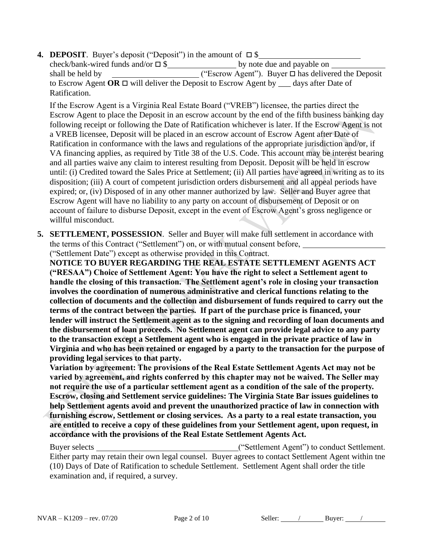**4. DEPOSIT**. Buyer's deposit ("Deposit") in the amount of  $\Box$ 

check/bank-wired funds and/or  $\Box$  \$ by note due and payable on shall be held by  $\overline{\qquad}$  ("Escrow Agent"). Buyer  $\Box$  has delivered the Deposit to Escrow Agent  $\overline{OR} \square$  will deliver the Deposit to Escrow Agent by \_\_\_ days after Date of Ratification.

If the Escrow Agent is a Virginia Real Estate Board ("VREB") licensee, the parties direct the Escrow Agent to place the Deposit in an escrow account by the end of the fifth business banking day following receipt or following the Date of Ratification whichever is later. If the Escrow Agent is not a VREB licensee, Deposit will be placed in an escrow account of Escrow Agent after Date of Ratification in conformance with the laws and regulations of the appropriate jurisdiction and/or, if VA financing applies, as required by Title 38 of the U.S. Code. This account may be interest bearing and all parties waive any claim to interest resulting from Deposit. Deposit will be held in escrow until: (i) Credited toward the Sales Price at Settlement; (ii) All parties have agreed in writing as to its disposition; (iii) A court of competent jurisdiction orders disbursement and all appeal periods have expired; or, (iv) Disposed of in any other manner authorized by law. Seller and Buyer agree that Escrow Agent will have no liability to any party on account of disbursement of Deposit or on account of failure to disburse Deposit, except in the event of Escrow Agent's gross negligence or willful misconduct.

**5. SETTLEMENT, POSSESSION**. Seller and Buyer will make full settlement in accordance with the terms of this Contract ("Settlement") on, or with mutual consent before,

("Settlement Date") except as otherwise provided in this Contract.

**NOTICE TO BUYER REGARDING THE REAL ESTATE SETTLEMENT AGENTS ACT ("RESAA") Choice of Settlement Agent: You have the right to select a Settlement agent to handle the closing of this transaction. The Settlement agent's role in closing your transaction involves the coordination of numerous administrative and clerical functions relating to the collection of documents and the collection and disbursement of funds required to carry out the terms of the contract between the parties. If part of the purchase price is financed, your lender will instruct the Settlement agent as to the signing and recording of loan documents and the disbursement of loan proceeds. No Settlement agent can provide legal advice to any party to the transaction except a Settlement agent who is engaged in the private practice of law in Virginia and who has been retained or engaged by a party to the transaction for the purpose of providing legal services to that party.** 

**Variation by agreement: The provisions of the Real Estate Settlement Agents Act may not be varied by agreement, and rights conferred by this chapter may not be waived. The Seller may not require the use of a particular settlement agent as a condition of the sale of the property. Escrow, closing and Settlement service guidelines: The Virginia State Bar issues guidelines to help Settlement agents avoid and prevent the unauthorized practice of law in connection with furnishing escrow, Settlement or closing services. As a party to a real estate transaction, you are entitled to receive a copy of these guidelines from your Settlement agent, upon request, in accordance with the provisions of the Real Estate Settlement Agents Act.**

Buyer selects ("Settlement Agent") to conduct Settlement. Either party may retain their own legal counsel. Buyer agrees to contact Settlement Agent within tne (10) Days of Date of Ratification to schedule Settlement. Settlement Agent shall order the title examination and, if required, a survey.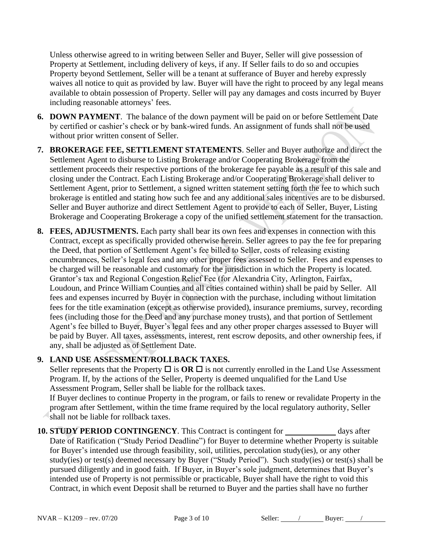Unless otherwise agreed to in writing between Seller and Buyer, Seller will give possession of Property at Settlement, including delivery of keys, if any. If Seller fails to do so and occupies Property beyond Settlement, Seller will be a tenant at sufferance of Buyer and hereby expressly waives all notice to quit as provided by law. Buyer will have the right to proceed by any legal means available to obtain possession of Property. Seller will pay any damages and costs incurred by Buyer including reasonable attorneys' fees.

- **6. DOWN PAYMENT**. The balance of the down payment will be paid on or before Settlement Date by certified or cashier's check or by bank-wired funds. An assignment of funds shall not be used without prior written consent of Seller.
- **7. BROKERAGE FEE, SETTLEMENT STATEMENTS**. Seller and Buyer authorize and direct the Settlement Agent to disburse to Listing Brokerage and/or Cooperating Brokerage from the settlement proceeds their respective portions of the brokerage fee payable as a result of this sale and closing under the Contract. Each Listing Brokerage and/or Cooperating Brokerage shall deliver to Settlement Agent, prior to Settlement, a signed written statement setting forth the fee to which such brokerage is entitled and stating how such fee and any additional sales incentives are to be disbursed. Seller and Buyer authorize and direct Settlement Agent to provide to each of Seller, Buyer, Listing Brokerage and Cooperating Brokerage a copy of the unified settlement statement for the transaction.
- **8. FEES, ADJUSTMENTS.** Each party shall bear its own fees and expenses in connection with this Contract, except as specifically provided otherwise herein. Seller agrees to pay the fee for preparing the Deed, that portion of Settlement Agent's fee billed to Seller, costs of releasing existing encumbrances, Seller's legal fees and any other proper fees assessed to Seller. Fees and expenses to be charged will be reasonable and customary for the jurisdiction in which the Property is located. Grantor's tax and Regional Congestion Relief Fee (for Alexandria City, Arlington, Fairfax, Loudoun, and Prince William Counties and all cities contained within) shall be paid by Seller. All fees and expenses incurred by Buyer in connection with the purchase, including without limitation fees for the title examination (except as otherwise provided), insurance premiums, survey, recording fees (including those for the Deed and any purchase money trusts), and that portion of Settlement Agent's fee billed to Buyer, Buyer's legal fees and any other proper charges assessed to Buyer will be paid by Buyer. All taxes, assessments, interest, rent escrow deposits, and other ownership fees, if any, shall be adjusted as of Settlement Date.

# **9. LAND USE ASSESSMENT/ROLLBACK TAXES.**

Seller represents that the Property  $\Box$  is  $\overline{OR} \Box$  is not currently enrolled in the Land Use Assessment Program. If, by the actions of the Seller, Property is deemed unqualified for the Land Use Assessment Program, Seller shall be liable for the rollback taxes.

If Buyer declines to continue Property in the program, or fails to renew or revalidate Property in the program after Settlement, within the time frame required by the local regulatory authority, Seller shall not be liable for rollback taxes.

**10. STUDY PERIOD CONTINGENCY**. This Contract is contingent for days after Date of Ratification ("Study Period Deadline") for Buyer to determine whether Property is suitable for Buyer's intended use through feasibility, soil, utilities, percolation study(ies), or any other study(ies) or test(s) deemed necessary by Buyer ("Study Period"). Such study(ies) or test(s) shall be pursued diligently and in good faith. If Buyer, in Buyer's sole judgment, determines that Buyer's intended use of Property is not permissible or practicable, Buyer shall have the right to void this Contract, in which event Deposit shall be returned to Buyer and the parties shall have no further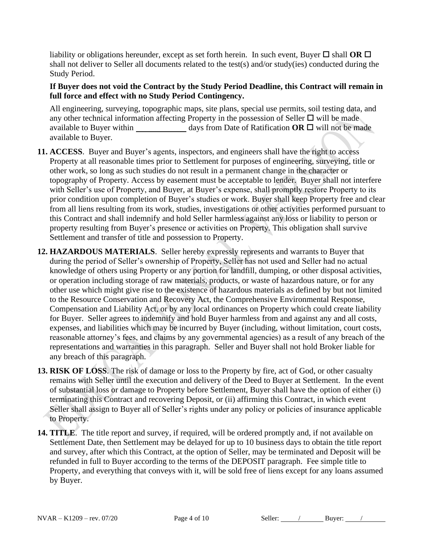liability or obligations hereunder, except as set forth herein. In such event, Buyer  $\Box$  shall **OR**  $\Box$ shall not deliver to Seller all documents related to the test(s) and/or study(ies) conducted during the Study Period.

#### **If Buyer does not void the Contract by the Study Period Deadline, this Contract will remain in full force and effect with no Study Period Contingency.**

All engineering, surveying, topographic maps, site plans, special use permits, soil testing data, and any other technical information affecting Property in the possession of Seller  $\Box$  will be made available to Buyer within days from Date of Ratification  $\overline{OR} \square$  will not be made available to Buyer.

- **11. ACCESS**. Buyer and Buyer's agents, inspectors, and engineers shall have the right to access Property at all reasonable times prior to Settlement for purposes of engineering, surveying, title or other work, so long as such studies do not result in a permanent change in the character or topography of Property. Access by easement must be acceptable to lender. Buyer shall not interfere with Seller's use of Property, and Buyer, at Buyer's expense, shall promptly restore Property to its prior condition upon completion of Buyer's studies or work. Buyer shall keep Property free and clear from all liens resulting from its work, studies, investigations or other activities performed pursuant to this Contract and shall indemnify and hold Seller harmless against any loss or liability to person or property resulting from Buyer's presence or activities on Property. This obligation shall survive Settlement and transfer of title and possession to Property.
- **12. HAZARDOUS MATERIALS**. Seller hereby expressly represents and warrants to Buyer that during the period of Seller's ownership of Property, Seller has not used and Seller had no actual knowledge of others using Property or any portion for landfill, dumping, or other disposal activities, or operation including storage of raw materials, products, or waste of hazardous nature, or for any other use which might give rise to the existence of hazardous materials as defined by but not limited to the Resource Conservation and Recovery Act, the Comprehensive Environmental Response, Compensation and Liability Act, or by any local ordinances on Property which could create liability for Buyer. Seller agrees to indemnify and hold Buyer harmless from and against any and all costs, expenses, and liabilities which may be incurred by Buyer (including, without limitation, court costs, reasonable attorney's fees, and claims by any governmental agencies) as a result of any breach of the representations and warranties in this paragraph. Seller and Buyer shall not hold Broker liable for any breach of this paragraph.
- **13. RISK OF LOSS**. The risk of damage or loss to the Property by fire, act of God, or other casualty remains with Seller until the execution and delivery of the Deed to Buyer at Settlement. In the event of substantial loss or damage to Property before Settlement, Buyer shall have the option of either (i) terminating this Contract and recovering Deposit, or (ii) affirming this Contract, in which event Seller shall assign to Buyer all of Seller's rights under any policy or policies of insurance applicable to Property.
- **14. TITLE**. The title report and survey, if required, will be ordered promptly and, if not available on Settlement Date, then Settlement may be delayed for up to 10 business days to obtain the title report and survey, after which this Contract, at the option of Seller, may be terminated and Deposit will be refunded in full to Buyer according to the terms of the DEPOSIT paragraph. Fee simple title to Property, and everything that conveys with it, will be sold free of liens except for any loans assumed by Buyer.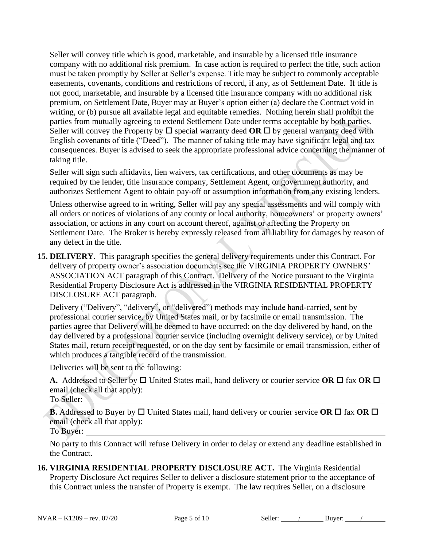Seller will convey title which is good, marketable, and insurable by a licensed title insurance company with no additional risk premium. In case action is required to perfect the title, such action must be taken promptly by Seller at Seller's expense. Title may be subject to commonly acceptable easements, covenants, conditions and restrictions of record, if any, as of Settlement Date. If title is not good, marketable, and insurable by a licensed title insurance company with no additional risk premium, on Settlement Date, Buyer may at Buyer's option either (a) declare the Contract void in writing, or (b) pursue all available legal and equitable remedies. Nothing herein shall prohibit the parties from mutually agreeing to extend Settlement Date under terms acceptable by both parties. Seller will convey the Property by  $\Box$  special warranty deed **OR**  $\Box$  by general warranty deed with English covenants of title ("Deed").The manner of taking title may have significant legal and tax consequences. Buyer is advised to seek the appropriate professional advice concerning the manner of taking title.

Seller will sign such affidavits, lien waivers, tax certifications, and other documents as may be required by the lender, title insurance company, Settlement Agent, or government authority, and authorizes Settlement Agent to obtain pay-off or assumption information from any existing lenders.

Unless otherwise agreed to in writing, Seller will pay any special assessments and will comply with all orders or notices of violations of any county or local authority, homeowners' or property owners' association, or actions in any court on account thereof, against or affecting the Property on Settlement Date. The Broker is hereby expressly released from all liability for damages by reason of any defect in the title.

**15. DELIVERY**. This paragraph specifies the general delivery requirements under this Contract. For delivery of property owner's association documents see the VIRGINIA PROPERTY OWNERS' ASSOCIATION ACT paragraph of this Contract. Delivery of the Notice pursuant to the Virginia Residential Property Disclosure Act is addressed in the VIRGINIA RESIDENTIAL PROPERTY DISCLOSURE ACT paragraph.

Delivery ("Delivery", "delivery", or "delivered") methods may include hand-carried, sent by professional courier service, by United States mail, or by facsimile or email transmission. The parties agree that Delivery will be deemed to have occurred: on the day delivered by hand, on the day delivered by a professional courier service (including overnight delivery service), or by United States mail, return receipt requested, or on the day sent by facsimile or email transmission, either of which produces a tangible record of the transmission.

Deliveries will be sent to the following:

**A.** Addressed to Seller by  $\Box$  United States mail, hand delivery or courier service **OR**  $\Box$  fax **OR**  $\Box$ email (check all that apply):

To Seller:

**B.** Addressed to Buyer by  $\Box$  United States mail, hand delivery or courier service OR  $\Box$  fax OR  $\Box$ email (check all that apply):

To Buyer:

No party to this Contract will refuse Delivery in order to delay or extend any deadline established in the Contract.

**16. VIRGINIA RESIDENTIAL PROPERTY DISCLOSURE ACT.** The Virginia Residential Property Disclosure Act requires Seller to deliver a disclosure statement prior to the acceptance of this Contract unless the transfer of Property is exempt. The law requires Seller, on a disclosure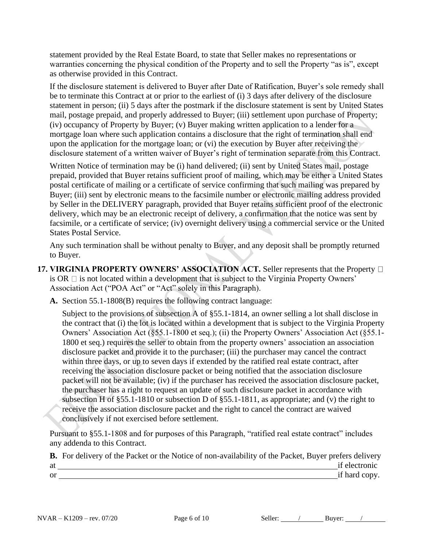statement provided by the Real Estate Board, to state that Seller makes no representations or warranties concerning the physical condition of the Property and to sell the Property "as is", except as otherwise provided in this Contract.

If the disclosure statement is delivered to Buyer after Date of Ratification, Buyer's sole remedy shall be to terminate this Contract at or prior to the earliest of (i) 3 days after delivery of the disclosure statement in person; (ii) 5 days after the postmark if the disclosure statement is sent by United States mail, postage prepaid, and properly addressed to Buyer; (iii) settlement upon purchase of Property; (iv) occupancy of Property by Buyer; (v) Buyer making written application to a lender for a mortgage loan where such application contains a disclosure that the right of termination shall end upon the application for the mortgage loan; or (vi) the execution by Buyer after receiving the disclosure statement of a written waiver of Buyer's right of termination separate from this Contract.

Written Notice of termination may be (i) hand delivered; (ii) sent by United States mail, postage prepaid, provided that Buyer retains sufficient proof of mailing, which may be either a United States postal certificate of mailing or a certificate of service confirming that such mailing was prepared by Buyer; (iii) sent by electronic means to the facsimile number or electronic mailing address provided by Seller in the DELIVERY paragraph, provided that Buyer retains sufficient proof of the electronic delivery, which may be an electronic receipt of delivery, a confirmation that the notice was sent by facsimile, or a certificate of service; (iv) overnight delivery using a commercial service or the United States Postal Service.

Any such termination shall be without penalty to Buyer, and any deposit shall be promptly returned to Buyer.

- **17. VIRGINIA PROPERTY OWNERS' ASSOCIATION ACT.** Seller represents that the Property  $\Box$ is OR  $\Box$  is not located within a development that is subject to the Virginia Property Owners' Association Act ("POA Act" or "Act" solely in this Paragraph).
	- **A.** Section 55.1-1808(B) requires the following contract language:

Subject to the provisions of subsection A of §55.1-1814, an owner selling a lot shall disclose in the contract that (i) the lot is located within a development that is subject to the Virginia Property Owners' Association Act (§55.1-1800 et seq.); (ii) the Property Owners' Association Act (§55.1- 1800 et seq.) requires the seller to obtain from the property owners' association an association disclosure packet and provide it to the purchaser; (iii) the purchaser may cancel the contract within three days, or up to seven days if extended by the ratified real estate contract, after receiving the association disclosure packet or being notified that the association disclosure packet will not be available; (iv) if the purchaser has received the association disclosure packet, the purchaser has a right to request an update of such disclosure packet in accordance with subsection H of §55.1-1810 or subsection D of §55.1-1811, as appropriate; and (v) the right to receive the association disclosure packet and the right to cancel the contract are waived conclusively if not exercised before settlement.

Pursuant to §55.1-1808 and for purposes of this Paragraph, "ratified real estate contract" includes any addenda to this Contract.

|     | <b>B.</b> For delivery of the Packet or the Notice of non-availability of the Packet, Buyer prefers delivery |
|-----|--------------------------------------------------------------------------------------------------------------|
| at  | if electronic                                                                                                |
| -or | if hard copy.                                                                                                |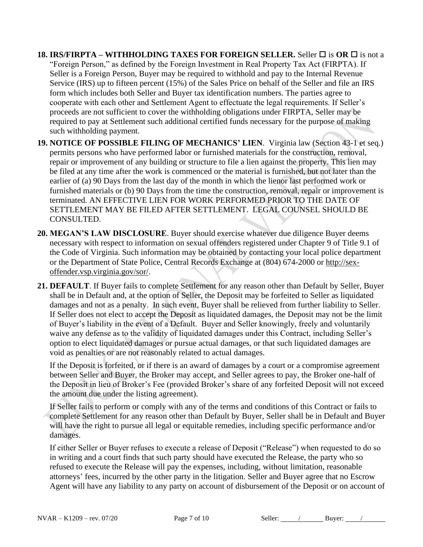**18. IRS/FIRPTA – WITHHOLDING TAXES FOR FOREIGN SELLER.** Seller is **OR**  is not a "Foreign Person," as defined by the Foreign Investment in Real Property Tax Act (FIRPTA). If Seller is a Foreign Person, Buyer may be required to withhold and pay to the Internal Revenue Service (IRS) up to fifteen percent (15%) of the Sales Price on behalf of the Seller and file an IRS form which includes both Seller and Buyer tax identification numbers. The parties agree to cooperate with each other and Settlement Agent to effectuate the legal requirements. If Seller's proceeds are not sufficient to cover the withholding obligations under FIRPTA, Seller may be required to pay at Settlement such additional certified funds necessary for the purpose of making such withholding payment.

- **19. NOTICE OF POSSIBLE FILING OF MECHANICS' LIEN**. Virginia law (Section 43-1 et seq.) permits persons who have performed labor or furnished materials for the construction, removal, repair or improvement of any building or structure to file a lien against the property. This lien may be filed at any time after the work is commenced or the material is furnished, but not later than the earlier of (a) 90 Days from the last day of the month in which the lienor last performed work or furnished materials or (b) 90 Days from the time the construction, removal, repair or improvement is terminated. AN EFFECTIVE LIEN FOR WORK PERFORMED PRIOR TO THE DATE OF SETTLEMENT MAY BE FILED AFTER SETTLEMENT. LEGAL COUNSEL SHOULD BE CONSULTED.
- **20. MEGAN'S LAW DISCLOSURE**. Buyer should exercise whatever due diligence Buyer deems necessary with respect to information on sexual offenders registered under Chapter 9 of Title 9.1 of the Code of Virginia. Such information may be obtained by contacting your local police department or the Department of State Police, Central Records Exchange at (804) 674-2000 or http://sexoffender.vsp.virginia.gov/sor/.
- **21. DEFAULT**. If Buyer fails to complete Settlement for any reason other than Default by Seller, Buyer shall be in Default and, at the option of Seller, the Deposit may be forfeited to Seller as liquidated damages and not as a penalty. In such event, Buyer shall be relieved from further liability to Seller. If Seller does not elect to accept the Deposit as liquidated damages, the Deposit may not be the limit of Buyer's liability in the event of a Default. Buyer and Seller knowingly, freely and voluntarily waive any defense as to the validity of liquidated damages under this Contract, including Seller's option to elect liquidated damages or pursue actual damages, or that such liquidated damages are void as penalties or are not reasonably related to actual damages.

If the Deposit is forfeited, or if there is an award of damages by a court or a compromise agreement between Seller and Buyer, the Broker may accept, and Seller agrees to pay, the Broker one-half of the Deposit in lieu of Broker's Fee (provided Broker's share of any forfeited Deposit will not exceed the amount due under the listing agreement).

If Seller fails to perform or comply with any of the terms and conditions of this Contract or fails to complete Settlement for any reason other than Default by Buyer, Seller shall be in Default and Buyer will have the right to pursue all legal or equitable remedies, including specific performance and/or damages.

If either Seller or Buyer refuses to execute a release of Deposit ("Release") when requested to do so in writing and a court finds that such party should have executed the Release, the party who so refused to execute the Release will pay the expenses, including, without limitation, reasonable attorneys' fees, incurred by the other party in the litigation. Seller and Buyer agree that no Escrow Agent will have any liability to any party on account of disbursement of the Deposit or on account of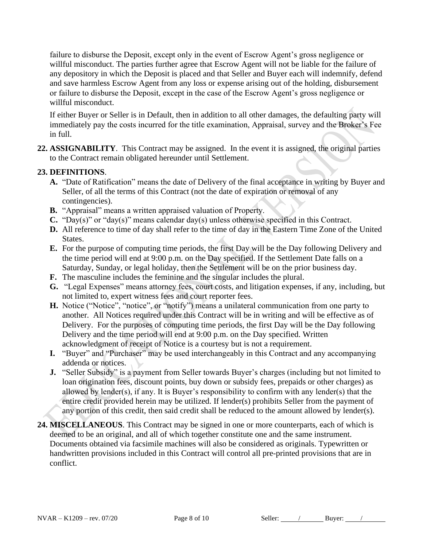failure to disburse the Deposit, except only in the event of Escrow Agent's gross negligence or willful misconduct. The parties further agree that Escrow Agent will not be liable for the failure of any depository in which the Deposit is placed and that Seller and Buyer each will indemnify, defend and save harmless Escrow Agent from any loss or expense arising out of the holding, disbursement or failure to disburse the Deposit, except in the case of the Escrow Agent's gross negligence or willful misconduct.

If either Buyer or Seller is in Default, then in addition to all other damages, the defaulting party will immediately pay the costs incurred for the title examination, Appraisal, survey and the Broker's Fee in full.

**22. ASSIGNABILITY**. This Contract may be assigned. In the event it is assigned, the original parties to the Contract remain obligated hereunder until Settlement.

#### **23. DEFINITIONS**.

- **A.** "Date of Ratification" means the date of Delivery of the final acceptance in writing by Buyer and Seller, of all the terms of this Contract (not the date of expiration or removal of any contingencies).
- **B.** "Appraisal" means a written appraised valuation of Property.
- **C.** "Day(s)" or "day(s)" means calendar day(s) unless otherwise specified in this Contract.
- **D.** All reference to time of day shall refer to the time of day in the Eastern Time Zone of the United States.
- **E.** For the purpose of computing time periods, the first Day will be the Day following Delivery and the time period will end at 9:00 p.m. on the Day specified. If the Settlement Date falls on a Saturday, Sunday, or legal holiday, then the Settlement will be on the prior business day.
- **F.** The masculine includes the feminine and the singular includes the plural.
- **G.** "Legal Expenses" means attorney fees, court costs, and litigation expenses, if any, including, but not limited to, expert witness fees and court reporter fees.
- **H.** Notice ("Notice", "notice", or "notify") means a unilateral communication from one party to another. All Notices required under this Contract will be in writing and will be effective as of Delivery. For the purposes of computing time periods, the first Day will be the Day following Delivery and the time period will end at 9:00 p.m. on the Day specified. Written acknowledgment of receipt of Notice is a courtesy but is not a requirement.
- **I.** "Buyer" and "Purchaser" may be used interchangeably in this Contract and any accompanying addenda or notices.
- **J.** "Seller Subsidy" is a payment from Seller towards Buyer's charges (including but not limited to loan origination fees, discount points, buy down or subsidy fees, prepaids or other charges) as allowed by lender(s), if any. It is Buyer's responsibility to confirm with any lender(s) that the entire credit provided herein may be utilized. If lender(s) prohibits Seller from the payment of any portion of this credit, then said credit shall be reduced to the amount allowed by lender(s).
- **24. MISCELLANEOUS**. This Contract may be signed in one or more counterparts, each of which is deemed to be an original, and all of which together constitute one and the same instrument. Documents obtained via facsimile machines will also be considered as originals. Typewritten or handwritten provisions included in this Contract will control all pre-printed provisions that are in conflict.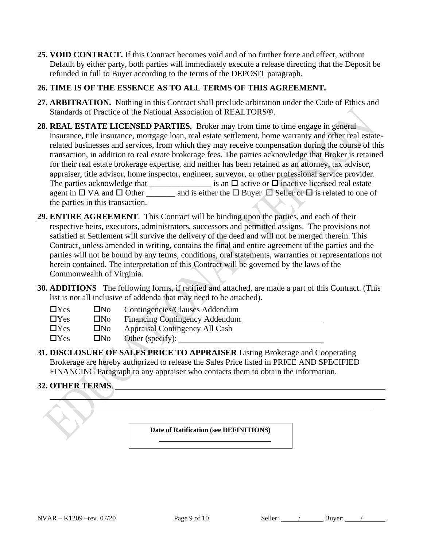**25. VOID CONTRACT.** If this Contract becomes void and of no further force and effect, without Default by either party, both parties will immediately execute a release directing that the Deposit be refunded in full to Buyer according to the terms of the DEPOSIT paragraph.

## **26. TIME IS OF THE ESSENCE AS TO ALL TERMS OF THIS AGREEMENT.**

- **27. ARBITRATION.** Nothing in this Contract shall preclude arbitration under the Code of Ethics and Standards of Practice of the National Association of REALTORS®.
- **28. REAL ESTATE LICENSED PARTIES.** Broker may from time to time engage in general insurance, title insurance, mortgage loan, real estate settlement, home warranty and other real estaterelated businesses and services, from which they may receive compensation during the course of this transaction, in addition to real estate brokerage fees. The parties acknowledge that Broker is retained for their real estate brokerage expertise, and neither has been retained as an attorney, tax advisor, appraiser, title advisor, home inspector, engineer, surveyor, or other professional service provider. The parties acknowledge that \_\_\_\_\_\_\_\_\_\_\_\_\_\_\_\_\_ is an  $\Box$  active or  $\Box$  inactive licensed real estate agent in  $\Box$  VA and  $\Box$  Other \_\_\_\_\_\_\_\_ and is either the  $\Box$  Buyer  $\Box$  Seller or  $\Box$  is related to one of the parties in this transaction.
- **29. ENTIRE AGREEMENT**. This Contract will be binding upon the parties, and each of their respective heirs, executors, administrators, successors and permitted assigns. The provisions not satisfied at Settlement will survive the delivery of the deed and will not be merged therein. This Contract, unless amended in writing, contains the final and entire agreement of the parties and the parties will not be bound by any terms, conditions, oral statements, warranties or representations not herein contained. The interpretation of this Contract will be governed by the laws of the Commonwealth of Virginia.
- **30. ADDITIONS** The following forms, if ratified and attached, are made a part of this Contract. (This list is not all inclusive of addenda that may need to be attached).

| $\Box$ Yes | $\Box$ No    | Contingencies/Clauses Addendum        |
|------------|--------------|---------------------------------------|
| $\Box$ Yes | $\square$ No | <b>Financing Contingency Addendum</b> |
| $\Box$ Yes | $\square$ No | <b>Appraisal Contingency All Cash</b> |
| $\Box$ Yes | $\Box$ No    | Other (specify):                      |

**31. DISCLOSURE OF SALES PRICE TO APPRAISER** Listing Brokerage and Cooperating Brokerage are hereby authorized to release the Sales Price listed in PRICE AND SPECIFIED FINANCING Paragraph to any appraiser who contacts them to obtain the information.

# **32. OTHER TERMS**.

**Date of Ratification (see DEFINITIONS)**